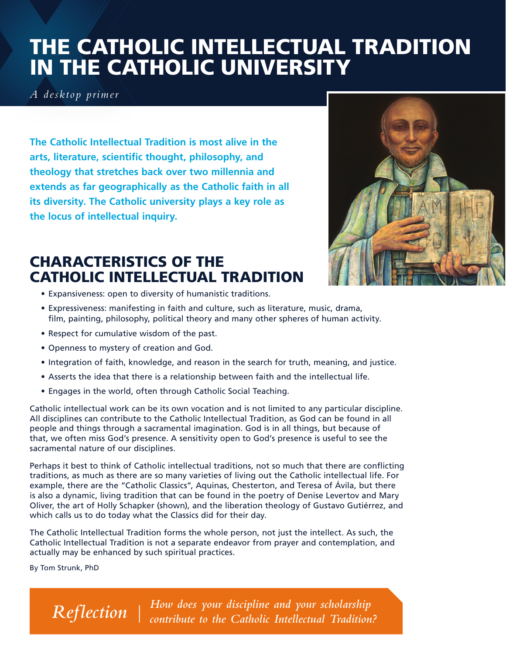## THE CATHOLIC INTELLECTUAL TRADITION IN THE CATHOLIC UNIVERSITY

*A desktop primer*

**The Catholic Intellectual Tradition is most alive in the arts, literature, scientific thought, philosophy, and theology that stretches back over two millennia and extends as far geographically as the Catholic faith in all its diversity. The Catholic university plays a key role as the locus of intellectual inquiry.**

### CHARACTERISTICS OF THE CATHOLIC INTELLECTUAL TRADITION

- Expansiveness: open to diversity of humanistic traditions.
- Expressiveness: manifesting in faith and culture, such as literature, music, drama, film, painting, philosophy, political theory and many other spheres of human activity.
- Respect for cumulative wisdom of the past.
- Openness to mystery of creation and God.
- Integration of faith, knowledge, and reason in the search for truth, meaning, and justice.
- Asserts the idea that there is a relationship between faith and the intellectual life.
- Engages in the world, often through Catholic Social Teaching.

Catholic intellectual work can be its own vocation and is not limited to any particular discipline. All disciplines can contribute to the Catholic Intellectual Tradition, as God can be found in all people and things through a sacramental imagination. God is in all things, but because of that, we often miss God's presence. A sensitivity open to God's presence is useful to see the sacramental nature of our disciplines.

Perhaps it best to think of Catholic intellectual traditions, not so much that there are conflicting traditions, as much as there are so many varieties of living out the Catholic intellectual life. For example, there are the "Catholic Classics", Aquinas, Chesterton, and Teresa of Ávila, but there is also a dynamic, living tradition that can be found in the poetry of Denise Levertov and Mary Oliver, the art of Holly Schapker (shown), and the liberation theology of Gustavo Gutiérrez, and which calls us to do today what the Classics did for their day.

The Catholic Intellectual Tradition forms the whole person, not just the intellect. As such, the Catholic Intellectual Tradition is not a separate endeavor from prayer and contemplation, and actually may be enhanced by such spiritual practices.

By Tom Strunk, PhD

*How does your discipline and your scholarship Reflection* | *contribute to the Catholic Intellectual Tradition?*